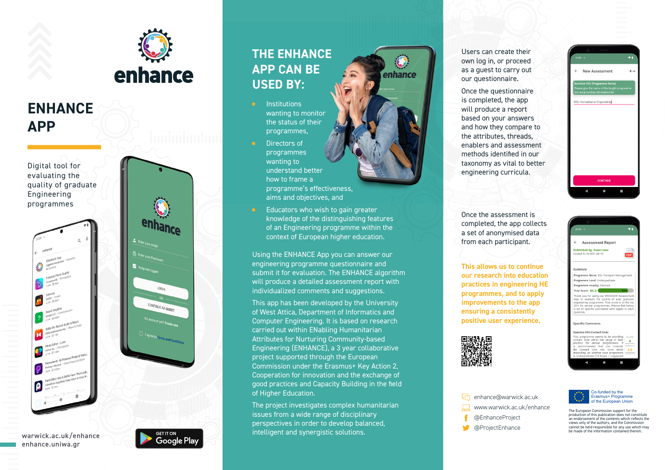

## **ENHANCE APP**

Digital tool for evaluating the quality of graduate Engineering programmes



warwick.ac.uk/enhance enhance.uniwa.gr



Google Pla

## **THE ENHANCE APP CAN BE USED BY:**

- **Institutions** wanting to monitor the status of their programmes,
- Directors of programmes wanting to understand better how to frame a programme's effectiveness, aims and objectives, and
- Educators who wish to gain greater knowledge of the distinguishing features of an Engineering programme within the context of European higher education.

Using the ENHANCE App you can answer our engineering programme questionnaire and submit it for evaluation. The ENHANCE algorithm will produce a detailed assessment report with individualized comments and suggestions.

This app has been developed by the University of West Attica, Department of Informatics and Computer Engineering. It is based on research carried out within ENabling Humanitarian Attributes for Nurturing Community-based Engineering (ENHANCE), a 3 year collaborative project supported through the European Commission under the Erasmus+ Key Action 2, Cooperation for innovation and the exchange of good practices and Capacity Building in the field of Higher Education.

The project investigates complex humanitarian issues from a wide range of disciplinary perspectives in order to develop balanced, intelligent and synergistic solutions.

Users can create their own log in, or proceed as a guest to carry out our questionnaire.

Once the questionnaire is completed, the app will produce a report based on your answers and how they compare to the attributes, threads, enablers and assessment methods identified in our taxonomy as vital to better engineering curricula.

Once the assessment is completed, the app collects a set of anonymised data from each participant.

**This allows us to continue our research into education practices in engineering HE programmes, and to apply improvements to the app ensuring a consistently positive user experience.** 

**h**enhance@warwick.ac.uk www.warwick.ac.uk/enhance

> @EnhanceProject @ProjectEnhance





Co-funded by the Erasmus+ Programme of the European Union

 $\leftarrow$  New Accessment

MSc Humanitarian Engineering

 $\leftarrow$  Accasement Penort Submitted by: Guest use

Programme Name: BSc Transport Mar Programme Level: Undergraduate Programme country: Vietnam

Transfer of the state of the state of the state of the product explorer than the quality of your graduate explorering programme. Your score is at the to 20% for similar programmes. Please find below a set of specific comme

noramme seems to he

 $\overline{4}$ 

Total Score: 84.5

question Specific Comments

The European Commission support for the production of this publication does not constitute an endorsement of the contents which reflects the views only of the authors, and the Commission cannot be held responsible for any use which may be made of the information contained therein.

## enhance